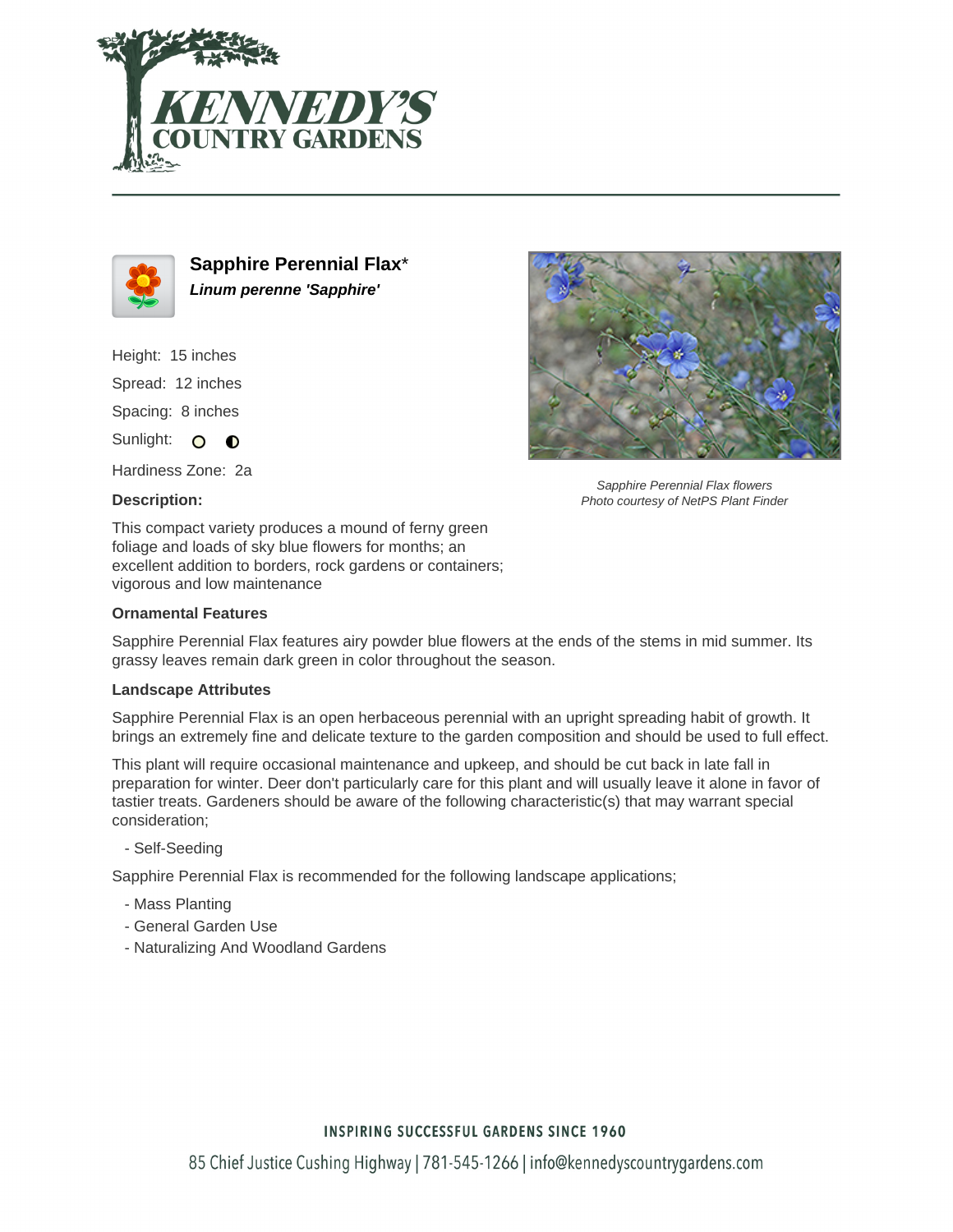



**Sapphire Perennial Flax**\* **Linum perenne 'Sapphire'**

Height: 15 inches Spread: 12 inches Spacing: 8 inches

Sunlight: O  $\bullet$ 

Hardiness Zone: 2a

### **Description:**

This compact variety produces a mound of ferny green foliage and loads of sky blue flowers for months; an excellent addition to borders, rock gardens or containers; vigorous and low maintenance

#### **Ornamental Features**

Sapphire Perennial Flax features airy powder blue flowers at the ends of the stems in mid summer. Its grassy leaves remain dark green in color throughout the season.

#### **Landscape Attributes**

Sapphire Perennial Flax is an open herbaceous perennial with an upright spreading habit of growth. It brings an extremely fine and delicate texture to the garden composition and should be used to full effect.

This plant will require occasional maintenance and upkeep, and should be cut back in late fall in preparation for winter. Deer don't particularly care for this plant and will usually leave it alone in favor of tastier treats. Gardeners should be aware of the following characteristic(s) that may warrant special consideration;

- Self-Seeding

Sapphire Perennial Flax is recommended for the following landscape applications;

- Mass Planting
- General Garden Use
- Naturalizing And Woodland Gardens



Sapphire Perennial Flax flowers Photo courtesy of NetPS Plant Finder

## **INSPIRING SUCCESSFUL GARDENS SINCE 1960**